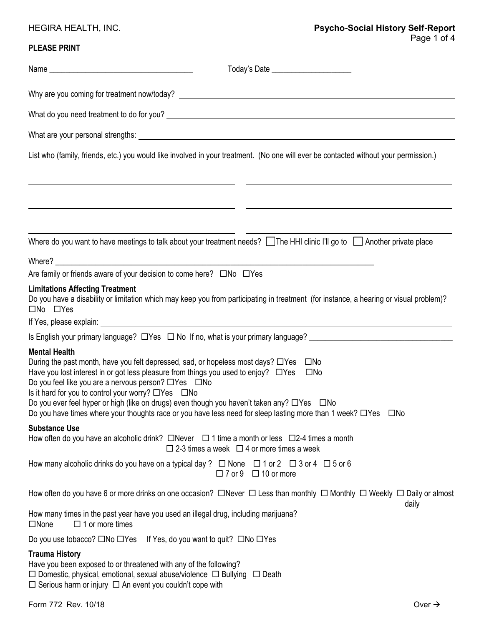## **PLEASE PRINT**

|                                                                                                                                                                                                                                                                | List who (family, friends, etc.) you would like involved in your treatment. (No one will ever be contacted without your permission.)                                                                                                                                                                                                                                                                      |
|----------------------------------------------------------------------------------------------------------------------------------------------------------------------------------------------------------------------------------------------------------------|-----------------------------------------------------------------------------------------------------------------------------------------------------------------------------------------------------------------------------------------------------------------------------------------------------------------------------------------------------------------------------------------------------------|
|                                                                                                                                                                                                                                                                | Where do you want to have meetings to talk about your treatment needs? The HHI clinic I'll go to Another private place                                                                                                                                                                                                                                                                                    |
|                                                                                                                                                                                                                                                                |                                                                                                                                                                                                                                                                                                                                                                                                           |
| Are family or friends aware of your decision to come here? $\square$ No $\square$ Yes                                                                                                                                                                          |                                                                                                                                                                                                                                                                                                                                                                                                           |
| <b>Limitations Affecting Treatment</b><br>$\square$ No $\square$ Yes                                                                                                                                                                                           | Do you have a disability or limitation which may keep you from participating in treatment (for instance, a hearing or visual problem)?                                                                                                                                                                                                                                                                    |
|                                                                                                                                                                                                                                                                |                                                                                                                                                                                                                                                                                                                                                                                                           |
| <b>Mental Health</b><br>Do you feel like you are a nervous person? □ Yes □ No<br>Is it hard for you to control your worry? $\Box$ Yes $\Box$ No                                                                                                                | During the past month, have you felt depressed, sad, or hopeless most days? □Yes □No<br>Have you lost interest in or got less pleasure from things you used to enjoy? $\Box$ Yes $\Box$ No<br>Do you ever feel hyper or high (like on drugs) even though you haven't taken any? □Yes □No<br>Do you have times where your thoughts race or you have less need for sleep lasting more than 1 week? □Yes □No |
| <b>Substance Use</b>                                                                                                                                                                                                                                           | How often do you have an alcoholic drink? $\Box$ Never $\Box$ 1 time a month or less $\Box$ 2-4 times a month<br>$\Box$ 2-3 times a week $\Box$ 4 or more times a week                                                                                                                                                                                                                                    |
|                                                                                                                                                                                                                                                                | How many alcoholic drinks do you have on a typical day ? $\Box$ None $\Box$ 1 or 2 $\Box$ 3 or 4 $\Box$ 5 or 6<br>$\Box$ 7 or 9 $\Box$ 10 or more                                                                                                                                                                                                                                                         |
|                                                                                                                                                                                                                                                                | How often do you have 6 or more drinks on one occasion? $\Box$ Never $\Box$ Less than monthly $\Box$ Monthly $\Box$ Weekly $\Box$ Daily or almost                                                                                                                                                                                                                                                         |
| How many times in the past year have you used an illegal drug, including marijuana?<br>$\Box$ 1 or more times<br>$\square$ None                                                                                                                                | daily                                                                                                                                                                                                                                                                                                                                                                                                     |
| Do you use tobacco? $\square$ No $\square$ Yes If Yes, do you want to quit? $\square$ No $\square$ Yes                                                                                                                                                         |                                                                                                                                                                                                                                                                                                                                                                                                           |
| <b>Trauma History</b><br>Have you been exposed to or threatened with any of the following?<br>$\Box$ Domestic, physical, emotional, sexual abuse/violence $\Box$ Bullying $\Box$ Death<br>$\Box$ Serious harm or injury $\Box$ An event you couldn't cope with |                                                                                                                                                                                                                                                                                                                                                                                                           |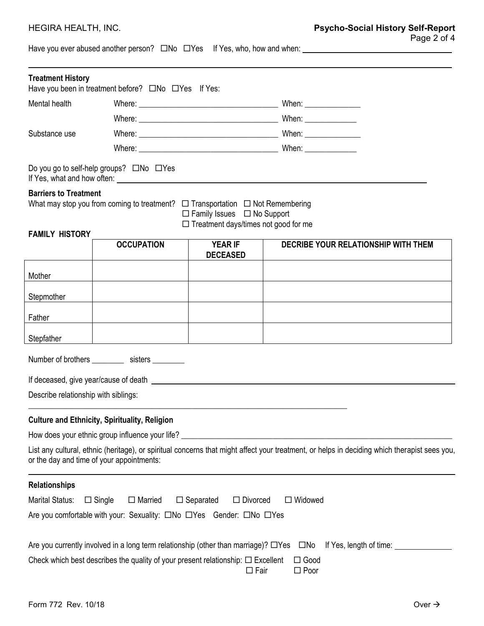Have you ever abused another person? No Yes If Yes, who, how and when:

| <b>Treatment History</b>                              |                                                                                                                                                                                                                                      |                                                                                       |                                                                                                                                                                                                                                      |
|-------------------------------------------------------|--------------------------------------------------------------------------------------------------------------------------------------------------------------------------------------------------------------------------------------|---------------------------------------------------------------------------------------|--------------------------------------------------------------------------------------------------------------------------------------------------------------------------------------------------------------------------------------|
|                                                       | Have you been in treatment before? ONo OYes If Yes:                                                                                                                                                                                  |                                                                                       |                                                                                                                                                                                                                                      |
| Mental health                                         |                                                                                                                                                                                                                                      |                                                                                       | When: _________________                                                                                                                                                                                                              |
|                                                       |                                                                                                                                                                                                                                      |                                                                                       |                                                                                                                                                                                                                                      |
| Substance use                                         |                                                                                                                                                                                                                                      |                                                                                       |                                                                                                                                                                                                                                      |
|                                                       |                                                                                                                                                                                                                                      |                                                                                       |                                                                                                                                                                                                                                      |
|                                                       | Do you go to self-help groups? □No □Yes                                                                                                                                                                                              |                                                                                       | If Yes, what and how often: <u>example and the set of the set of the set of the set of the set of the set of the set of the set of the set of the set of the set of the set of the set of the set of the set of the set of the s</u> |
| <b>Barriers to Treatment</b><br><b>FAMILY HISTORY</b> | What may stop you from coming to treatment? $\Box$ Transportation $\Box$ Not Remembering                                                                                                                                             | $\Box$ Family Issues $\Box$ No Support<br>$\Box$ Treatment days/times not good for me |                                                                                                                                                                                                                                      |
|                                                       | <b>OCCUPATION</b>                                                                                                                                                                                                                    | <b>YEAR IF</b><br><b>DECEASED</b>                                                     | DECRIBE YOUR RELATIONSHIP WITH THEM                                                                                                                                                                                                  |
| Mother                                                |                                                                                                                                                                                                                                      |                                                                                       |                                                                                                                                                                                                                                      |
| Stepmother                                            |                                                                                                                                                                                                                                      |                                                                                       |                                                                                                                                                                                                                                      |
| Father                                                |                                                                                                                                                                                                                                      |                                                                                       |                                                                                                                                                                                                                                      |
| Stepfather                                            |                                                                                                                                                                                                                                      |                                                                                       |                                                                                                                                                                                                                                      |
|                                                       | Number of brothers _______________ sisters ___________                                                                                                                                                                               |                                                                                       |                                                                                                                                                                                                                                      |
|                                                       | If deceased, give year/cause of death <b>contract to the set of the set of the set of the set of the set of the set of the set of the set of the set of the set of the set of the set of the set of the set of the set of the se</b> |                                                                                       |                                                                                                                                                                                                                                      |
| Describe relationship with siblings:                  |                                                                                                                                                                                                                                      |                                                                                       |                                                                                                                                                                                                                                      |
|                                                       | <b>Culture and Ethnicity, Spirituality, Religion</b>                                                                                                                                                                                 |                                                                                       |                                                                                                                                                                                                                                      |
|                                                       | How does your ethnic group influence your life? ________________________________                                                                                                                                                     |                                                                                       |                                                                                                                                                                                                                                      |
|                                                       | or the day and time of your appointments:                                                                                                                                                                                            |                                                                                       | List any cultural, ethnic (heritage), or spiritual concerns that might affect your treatment, or helps in deciding which therapist sees you,                                                                                         |
| <b>Relationships</b>                                  |                                                                                                                                                                                                                                      |                                                                                       |                                                                                                                                                                                                                                      |
| Marital Status:                                       | $\Box$ Married<br>$\Box$ Single                                                                                                                                                                                                      | $\Box$ Separated<br>$\Box$ Divorced                                                   | $\Box$ Widowed                                                                                                                                                                                                                       |
|                                                       | Are you comfortable with your: Sexuality: $\square$ No $\square$ Yes Gender: $\square$ No $\square$ Yes                                                                                                                              |                                                                                       |                                                                                                                                                                                                                                      |
|                                                       | Are you currently involved in a long term relationship (other than marriage)? $\Box$ Yes                                                                                                                                             |                                                                                       | $\square$ No<br>If Yes, length of time:                                                                                                                                                                                              |
|                                                       | Check which best describes the quality of your present relationship: $\Box$ Excellent                                                                                                                                                | $\Box$ Fair                                                                           | $\Box$ Good<br>$\square$ Poor                                                                                                                                                                                                        |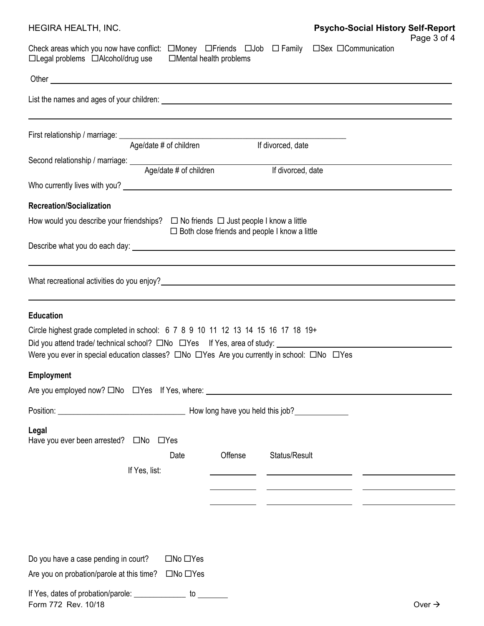| HEGIRA HEALTH, INC.                                                                                                                                                                                                                                                                                                                               |                                                      | <b>Psycho-Social History Self-Report</b>                                                                             |
|---------------------------------------------------------------------------------------------------------------------------------------------------------------------------------------------------------------------------------------------------------------------------------------------------------------------------------------------------|------------------------------------------------------|----------------------------------------------------------------------------------------------------------------------|
| Check areas which you now have conflict: $\square$ Money $\square$ Friends $\square$ Job $\square$ Family<br>$\Box$ Legal problems $\Box$ Alcohol/drug use $\Box$ Mental health problems                                                                                                                                                          |                                                      | Page 3 of 4<br>□Sex □Communication                                                                                   |
|                                                                                                                                                                                                                                                                                                                                                   |                                                      |                                                                                                                      |
|                                                                                                                                                                                                                                                                                                                                                   |                                                      |                                                                                                                      |
|                                                                                                                                                                                                                                                                                                                                                   |                                                      |                                                                                                                      |
| Age/date # of children                                                                                                                                                                                                                                                                                                                            | If divorced, date                                    |                                                                                                                      |
|                                                                                                                                                                                                                                                                                                                                                   | If divorced, date                                    |                                                                                                                      |
| Who currently lives with you? Note that the contract of the contract of the contract of the contract of the contract of the contract of the contract of the contract of the contract of the contract of the contract of the co                                                                                                                    |                                                      |                                                                                                                      |
| <b>Recreation/Socialization</b>                                                                                                                                                                                                                                                                                                                   |                                                      |                                                                                                                      |
| How would you describe your friendships? $\Box$ No friends $\Box$ Just people I know a little                                                                                                                                                                                                                                                     | $\Box$ Both close friends and people I know a little |                                                                                                                      |
|                                                                                                                                                                                                                                                                                                                                                   |                                                      |                                                                                                                      |
| <b>Education</b><br>Circle highest grade completed in school: 6 7 8 9 10 11 12 13 14 15 16 17 18 19+<br>Did you attend trade/ technical school? $\square$ No $\square$ Yes If Yes, area of study:<br>Were you ever in special education classes? $\square$ No $\square$ Yes Are you currently in school: $\square$ No $\square$ Yes<br>Employment |                                                      |                                                                                                                      |
|                                                                                                                                                                                                                                                                                                                                                   |                                                      |                                                                                                                      |
|                                                                                                                                                                                                                                                                                                                                                   |                                                      |                                                                                                                      |
| Legal<br>Date<br>If Yes, list:                                                                                                                                                                                                                                                                                                                    | Offense<br>Status/Result                             | <u> 1989 - Johann Harry Harry Barn, mars and de format and design and design and design and design and design an</u> |
| Do you have a case pending in court?<br>$\square$ No $\square$ Yes<br>Are you on probation/parole at this time?<br>$\Box$ No $\Box$ Yes<br>If Yes, dates of probation/parole: _______________<br>to                                                                                                                                               |                                                      |                                                                                                                      |

| Form 772 Rev. | 10/18 |  | ע( |
|---------------|-------|--|----|